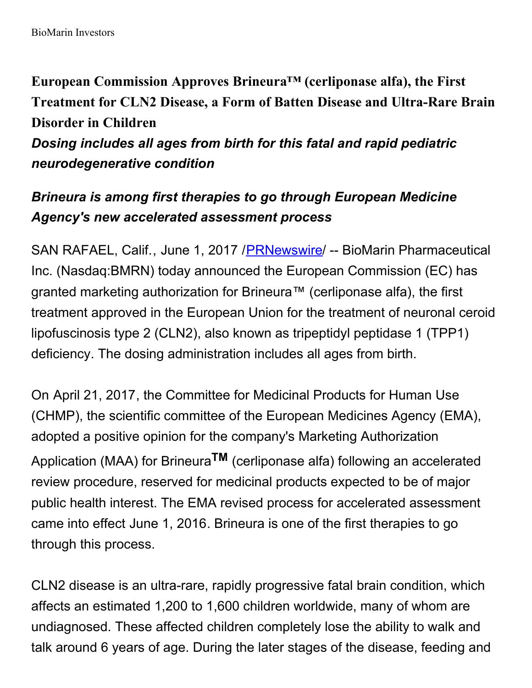**European Commission Approves Brineura™ (cerliponase alfa), the First Treatment for CLN2 Disease, a Form of Batten Disease and Ultra-Rare Brain Disorder in Children** *Dosing includes all ages from birth for this fatal and rapid pediatric neurodegenerative condition*

# *Brineura is among first therapies to go through European Medicine Agency's new accelerated assessment process*

SAN RAFAEL, Calif., June 1, 2017 / [PRNewswire](http://www.prnewswire.com/) / -- BioMarin Pharmaceutical Inc. (Nasdaq:BMRN) today announced the European Commission (EC) has granted marketing authorization for Brineura™ (cerliponase alfa), the first treatment approved in the European Union for the treatment of neuronal ceroid lipofuscinosis type 2 (CLN2), also known as tripeptidyl peptidase 1 (TPP1) deficiency. The dosing administration includes all ages from birth.

On April 21, 2017, the Committee for Medicinal Products for Human Use (CHMP), the scientific committee of the European Medicines Agency (EMA), adopted a positive opinion for the company's Marketing Authorization Application (MAA) for Brineura **TM** (cerliponase alfa) following an accelerated review procedure, reserved for medicinal products expected to be of major public health interest. The EMA revised process for accelerated assessment came into effect June 1, 2016. Brineura is one of the first therapies to go through this process.

CLN2 disease is an ultra-rare, rapidly progressive fatal brain condition, which affects an estimated 1,200 to 1,600 children worldwide, many of whom are undiagnosed. These affected children completely lose the ability to walk and talk around 6 years of age. During the later stages of the disease, feeding and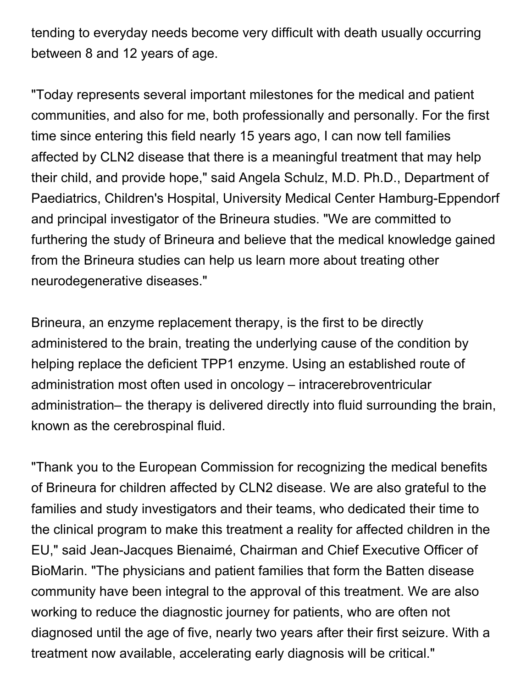tending to everyday needs become very difficult with death usually occurring between 8 and 12 years of age.

"Today represents several important milestones for the medical and patient communities, and also for me, both professionally and personally. For the first time since entering this field nearly 15 years ago, I can now tell families affected by CLN2 disease that there is a meaningful treatment that may help their child, and provide hope," said Angela Schulz, M.D. Ph.D., Department of Paediatrics, Children's Hospital, University Medical Center Hamburg-Eppendorf and principal investigator of the Brineura studies. "We are committed to furthering the study of Brineura and believe that the medical knowledge gained from the Brineura studies can help us learn more about treating other neurodegenerative diseases."

Brineura, an enzyme replacement therapy, is the first to be directly administered to the brain, treating the underlying cause of the condition by helping replace the deficient TPP1 enzyme. Using an established route of administration most often used in oncology – intracerebroventricular administration– the therapy is delivered directly into fluid surrounding the brain, known as the cerebrospinal fluid.

"Thank you to the European Commission for recognizing the medical benefits of Brineura for children affected by CLN2 disease. We are also grateful to the families and study investigators and their teams, who dedicated their time to the clinical program to make this treatment a reality for affected children in the EU," said Jean-Jacques Bienaimé, Chairman and Chief Executive Officer of BioMarin. "The physicians and patient families that form the Batten disease community have been integral to the approval of this treatment. We are also working to reduce the diagnostic journey for patients, who are often not diagnosed until the age of five, nearly two years after their first seizure. With a treatment now available, accelerating early diagnosis will be critical."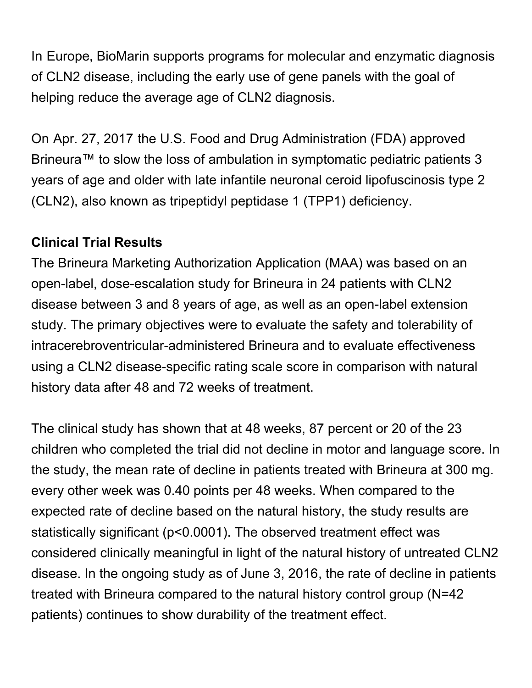In Europe, BioMarin supports programs for molecular and enzymatic diagnosis of CLN2 disease, including the early use of gene panels with the goal of helping reduce the average age of CLN2 diagnosis.

On Apr. 27, 2017 the U.S. Food and Drug Administration (FDA) approved Brineura™ to slow the loss of ambulation in symptomatic pediatric patients 3 years of age and older with late infantile neuronal ceroid lipofuscinosis type 2 (CLN2), also known as tripeptidyl peptidase 1 (TPP1) deficiency.

#### **Clinical Trial Results**

The Brineura Marketing Authorization Application (MAA) was based on an open-label, dose-escalation study for Brineura in 24 patients with CLN2 disease between 3 and 8 years of age, as well as an open-label extension study. The primary objectives were to evaluate the safety and tolerability of intracerebroventricular-administered Brineura and to evaluate effectiveness using a CLN2 disease-specific rating scale score in comparison with natural history data after 48 and 72 weeks of treatment.

The clinical study has shown that at 48 weeks, 87 percent or 20 of the 23 children who completed the trial did not decline in motor and language score. In the study, the mean rate of decline in patients treated with Brineura at 300 mg. every other week was 0.40 points per 48 weeks. When compared to the expected rate of decline based on the natural history, the study results are statistically significant (p<0.0001). The observed treatment effect was considered clinically meaningful in light of the natural history of untreated CLN2 disease. In the ongoing study as of June 3, 2016, the rate of decline in patients treated with Brineura compared to the natural history control group (N=42 patients) continues to show durability of the treatment effect.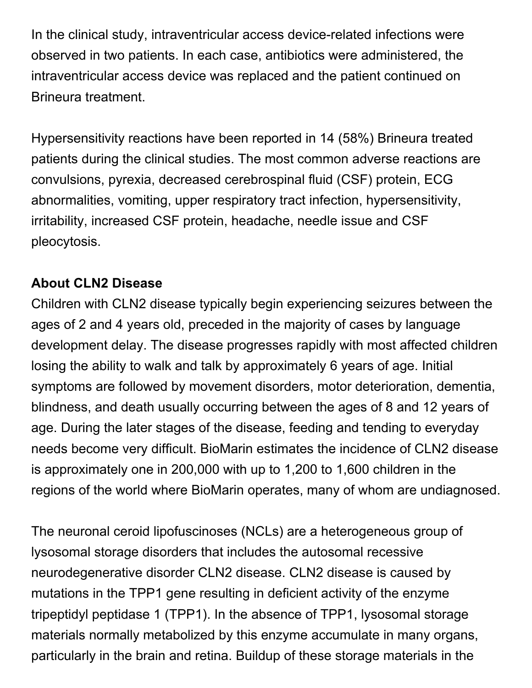In the clinical study, intraventricular access device-related infections were observed in two patients. In each case, antibiotics were administered, the intraventricular access device was replaced and the patient continued on Brineura treatment.

Hypersensitivity reactions have been reported in 14 (58%) Brineura treated patients during the clinical studies. The most common adverse reactions are convulsions, pyrexia, decreased cerebrospinal fluid (CSF) protein, ECG abnormalities, vomiting, upper respiratory tract infection, hypersensitivity, irritability, increased CSF protein, headache, needle issue and CSF pleocytosis.

## **About CLN2 Disease**

Children with CLN2 disease typically begin experiencing seizures between the ages of 2 and 4 years old, preceded in the majority of cases by language development delay. The disease progresses rapidly with most affected children losing the ability to walk and talk by approximately 6 years of age. Initial symptoms are followed by movement disorders, motor deterioration, dementia, blindness, and death usually occurring between the ages of 8 and 12 years of age. During the later stages of the disease, feeding and tending to everyday needs become very difficult. BioMarin estimates the incidence of CLN2 disease is approximately one in 200,000 with up to 1,200 to 1,600 children in the regions of the world where BioMarin operates, many of whom are undiagnosed.

The neuronal ceroid lipofuscinoses (NCLs) are a heterogeneous group of lysosomal storage disorders that includes the autosomal recessive neurodegenerative disorder CLN2 disease. CLN2 disease is caused by mutations in the TPP1 gene resulting in deficient activity of the enzyme tripeptidyl peptidase 1 (TPP1). In the absence of TPP1, lysosomal storage materials normally metabolized by this enzyme accumulate in many organs, particularly in the brain and retina. Buildup of these storage materials in the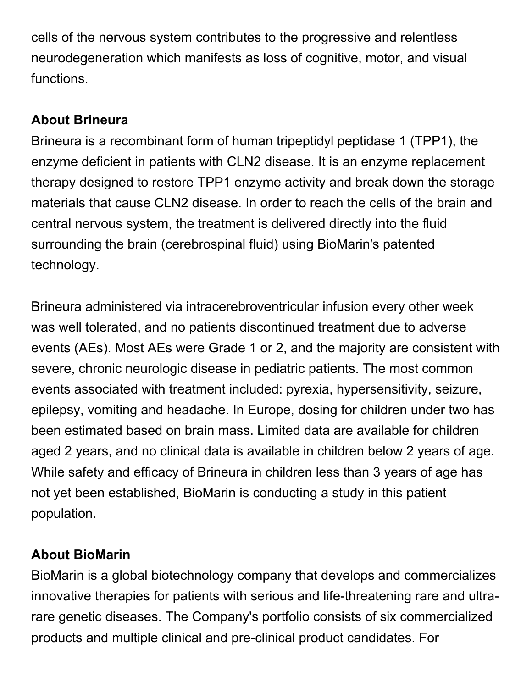cells of the nervous system contributes to the progressive and relentless neurodegeneration which manifests as loss of cognitive, motor, and visual functions.

## **About Brineura**

Brineura is a recombinant form of human tripeptidyl peptidase 1 (TPP1), the enzyme deficient in patients with CLN2 disease. It is an enzyme replacement therapy designed to restore TPP1 enzyme activity and break down the storage materials that cause CLN2 disease. In order to reach the cells of the brain and central nervous system, the treatment is delivered directly into the fluid surrounding the brain (cerebrospinal fluid) using BioMarin's patented technology.

Brineura administered via intracerebroventricular infusion every other week was well tolerated, and no patients discontinued treatment due to adverse events (AEs). Most AEs were Grade 1 or 2, and the majority are consistent with severe, chronic neurologic disease in pediatric patients. The most common events associated with treatment included: pyrexia, hypersensitivity, seizure, epilepsy, vomiting and headache. In Europe, dosing for children under two has been estimated based on brain mass. Limited data are available for children aged 2 years, and no clinical data is available in children below 2 years of age. While safety and efficacy of Brineura in children less than 3 years of age has not yet been established, BioMarin is conducting a study in this patient population.

# **About BioMarin**

BioMarin is a global biotechnology company that develops and commercializes innovative therapies for patients with serious and life-threatening rare and ultrarare genetic diseases. The Company's portfolio consists of six commercialized products and multiple clinical and pre-clinical product candidates. For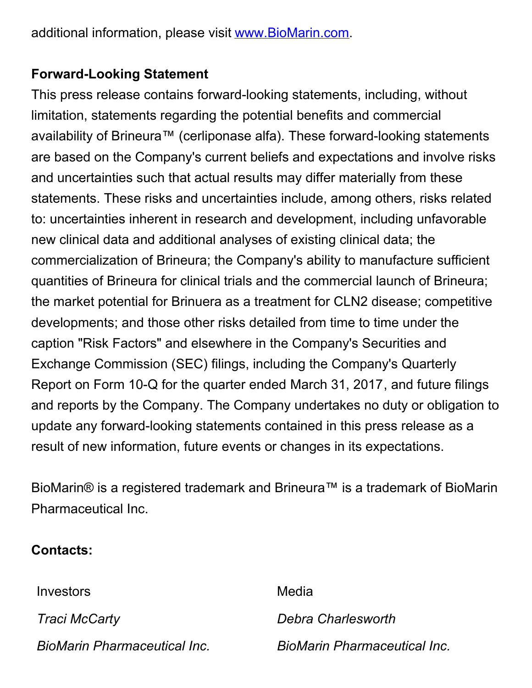additional information, please visit [www.BioMarin.com](http://www.biomarin.com/).

#### **Forward-Looking Statement**

This press release contains forward-looking statements, including, without limitation, statements regarding the potential benefits and commercial availability of Brineura™ (cerliponase alfa). These forward-looking statements are based on the Company's current beliefs and expectations and involve risks and uncertainties such that actual results may differ materially from these statements. These risks and uncertainties include, among others, risks related to: uncertainties inherent in research and development, including unfavorable new clinical data and additional analyses of existing clinical data; the commercialization of Brineura; the Company's ability to manufacture sufficient quantities of Brineura for clinical trials and the commercial launch of Brineura; the market potential for Brinuera as a treatment for CLN2 disease; competitive developments; and those other risks detailed from time to time under the caption "Risk Factors" and elsewhere in the Company's Securities and Exchange Commission (SEC) filings, including the Company's Quarterly Report on Form 10-Q for the quarter ended March 31, 2017, and future filings and reports by the Company. The Company undertakes no duty or obligation to update any forward-looking statements contained in this press release as a result of new information, future events or changes in its expectations.

BioMarin® is a registered trademark and Brineura™ is a trademark of BioMarin Pharmaceutical Inc.

#### **Contacts:**

Investors **Media** *Traci McCarty Debra Charlesworth BioMarin Pharmaceutical Inc. BioMarin Pharmaceutical Inc.*